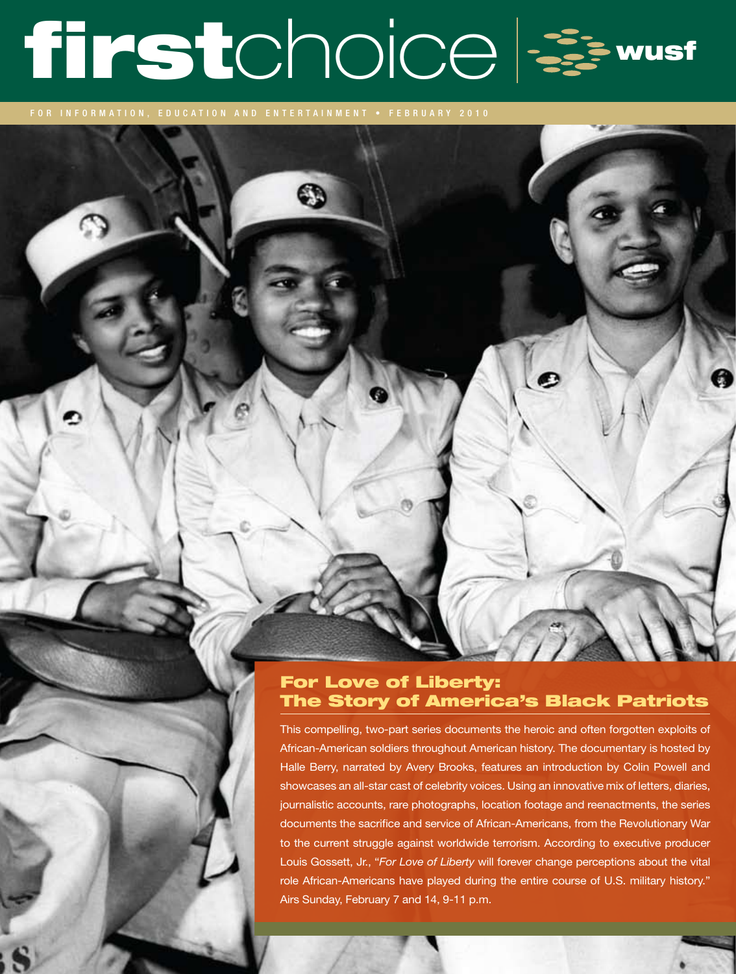# firstchoice &

FOR INFORMATION, EDUCATION AND ENTERTAINMENT • FEBRUARY 2010

# For Love of Liberty: The Story of America's Black Patriots

This compelling, two-part series documents the heroic and often forgotten exploits of African-American soldiers throughout American history. The documentary is hosted by Halle Berry, narrated by Avery Brooks, features an introduction by Colin Powell and showcases an all-star cast of celebrity voices. Using an innovative mix of letters, diaries, journalistic accounts, rare photographs, location footage and reenactments, the series documents the sacrifice and service of African-Americans, from the Revolutionary War to the current struggle against worldwide terrorism. According to executive producer Louis Gossett, Jr., "*For Love of Liberty* will forever change perceptions about the vital role African-Americans have played during the entire course of U.S. military history." Airs Sunday, February 7 and 14, 9-11 p.m.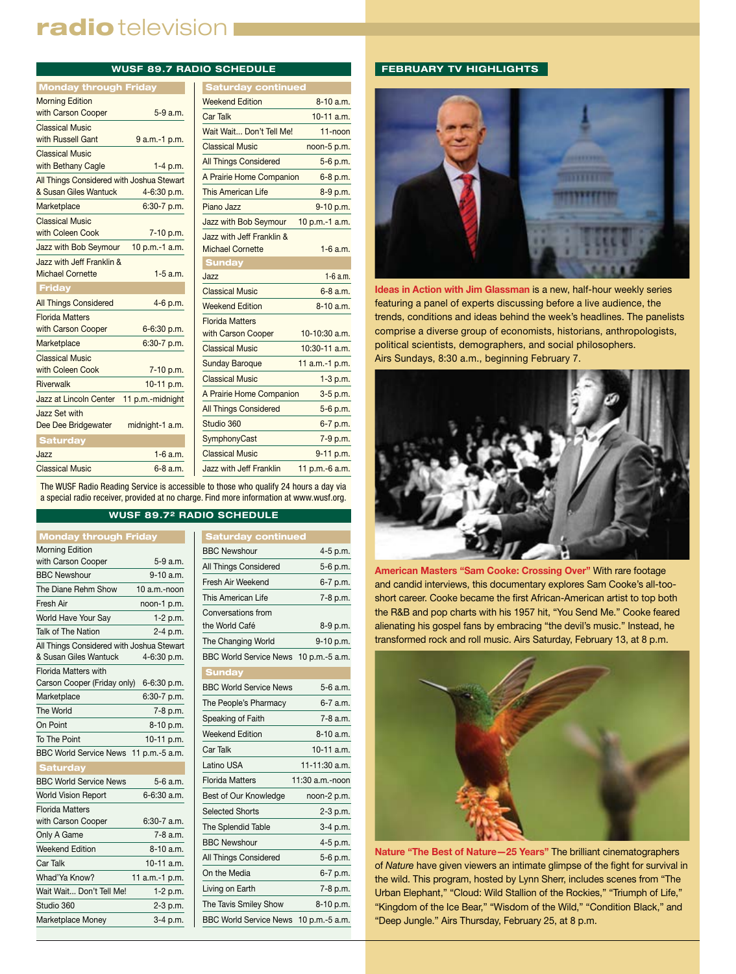# radio television I

| <b>WUSF 89.7 RADIO SCHEDULE</b>              |                  |                                              |
|----------------------------------------------|------------------|----------------------------------------------|
| <b>Monday through Friday</b>                 |                  | <b>Saturday cont</b>                         |
| <b>Morning Edition</b>                       |                  | <b>Weekend Edition</b>                       |
| with Carson Cooper                           | $5-9$ a.m.       | Car Talk                                     |
| <b>Classical Music</b>                       |                  | Wait Wait Don't Tell                         |
| with Russell Gant                            | 9 a.m.-1 p.m.    | <b>Classical Music</b>                       |
| <b>Classical Music</b><br>with Bethany Cagle | $1-4$ p.m.       | <b>All Things Considered</b>                 |
| All Things Considered with Joshua Stewart    |                  | A Prairie Home Comp                          |
| & Susan Giles Wantuck                        | 4-6:30 p.m.      | This American Life                           |
| Marketplace                                  | 6:30-7 p.m.      | Piano Jazz                                   |
| <b>Classical Music</b>                       |                  | Jazz with Bob Seymo                          |
| with Coleen Cook                             | 7-10 p.m.        | Jazz with Jeff Franklin                      |
| Jazz with Bob Seymour                        | 10 p.m.-1 a.m.   | <b>Michael Cornette</b>                      |
| Jazz with Jeff Franklin &                    |                  | <b>Sunday</b>                                |
| <b>Michael Cornette</b>                      | $1-5$ a.m.       | Jazz                                         |
| Friday                                       |                  | <b>Classical Music</b>                       |
| <b>All Things Considered</b>                 | 4-6 p.m.         | <b>Weekend Edition</b>                       |
| <b>Florida Matters</b><br>with Carson Cooper | 6-6:30 p.m.      | <b>Florida Matters</b><br>with Carson Cooper |
| Marketplace                                  | 6:30-7 p.m.      | <b>Classical Music</b>                       |
| <b>Classical Music</b><br>with Coleen Cook   | 7-10 p.m.        | <b>Sunday Baroque</b>                        |
| Riverwalk                                    | 10-11 p.m.       | <b>Classical Music</b>                       |
| Jazz at Lincoln Center                       | 11 p.m.-midnight | A Prairie Home Comp                          |
| Jazz Set with                                |                  | <b>All Things Considered</b>                 |
| Dee Dee Bridgewater                          | midnight-1 a.m.  | Studio 360                                   |
| <b>Saturday</b>                              |                  | SymphonyCast                                 |
| Jazz                                         | $1-6$ a.m.       | <b>Classical Music</b>                       |
| <b>Classical Music</b>                       | $6 - 8$ a.m.     | Jazz with Jeff Franklin                      |

| <b>Saturday continued</b>                            |                 |
|------------------------------------------------------|-----------------|
| <b>Weekend Edition</b>                               | $8-10a.m.$      |
| <b>Car Talk</b>                                      | $10-11$ a.m.    |
| Wait Wait Don't Tell Me!                             | $11$ -noon      |
| <b>Classical Music</b>                               | noon-5 p.m.     |
| <b>All Things Considered</b>                         | 5-6 p.m.        |
| A Prairie Home Companion                             | 6-8 p.m.        |
| <b>This American Life</b>                            | 8-9 p.m.        |
| Piano Jazz                                           | 9-10 p.m.       |
| Jazz with Bob Seymour                                | 10 p.m.-1 a.m.  |
| Jazz with Jeff Franklin &<br><b>Michael Cornette</b> | $1-6$ a.m.      |
| <b>Sunday</b>                                        |                 |
| $l$ azz                                              | $1-6a$ m        |
| <b>Classical Music</b>                               | $6 - 8$ a.m.    |
| <b>Weekend Edition</b>                               | $8-10a.m.$      |
| <b>Florida Matters</b><br>with Carson Cooper         | 10-10:30 a.m.   |
| <b>Classical Music</b>                               | $10:30-11$ a.m. |
| <b>Sunday Baroque</b>                                | 11 a.m.-1 p.m.  |
| <b>Classical Music</b>                               | $1-3$ p.m.      |
| A Prairie Home Companion                             | 3-5 p.m.        |
| <b>All Things Considered</b>                         | 5-6 p.m.        |
| Studio 360                                           | 6-7 p.m.        |
| SymphonyCast                                         | 7-9 p.m.        |
| <b>Classical Music</b>                               | 9-11 p.m.       |
| <b>Jazz with Jeff Franklin</b>                       | 11 p.m.-6 a.m.  |

The WUSF Radio Reading Service is accessible to those who qualify 24 hours a day via a special radio receiver, provided at no charge. Find more information at www.wusf.org.

## **WUSF 89.72 RADIO SCHEDULE**

| <b>Monday through Friday</b>              |                 |
|-------------------------------------------|-----------------|
| <b>Morning Edition</b>                    |                 |
| with Carson Cooper                        | 5-9 a.m.        |
| <b>BBC Newshour</b>                       | 9-10 a.m.       |
| The Diane Rehm Show                       | 10 a.m.-noon    |
| Fresh Air                                 | noon-1 p.m.     |
| World Have Your Say                       | $1-2 p.m.$      |
| Talk of The Nation                        | 2-4 p.m.        |
| All Things Considered with Joshua Stewart |                 |
| & Susan Giles Wantuck                     | 4-6:30 p.m.     |
| <b>Florida Matters with</b>               |                 |
| Carson Cooper (Friday only)               | 6-6:30 p.m.     |
| Marketplace                               | 6:30-7 p.m.     |
| The World                                 | 7-8 p.m.        |
| On Point                                  | 8-10 p.m.       |
| To The Point                              | 10-11 p.m.      |
| <b>BBC World Service News</b>             | 11 p.m.-5 a.m.  |
| <b>Saturday</b>                           |                 |
| <b>BBC World Service News</b>             | 5-6 a.m.        |
| <b>World Vision Report</b>                | $6 - 6:30$ a.m. |
| <b>Florida Matters</b>                    |                 |
| with Carson Cooper                        | $6:30-7$ a.m.   |
| Only A Game                               | 7-8 a.m.        |
| <b>Weekend Edition</b>                    | $8-10a.m.$      |
| Car Talk                                  | 10-11 $a.m.$    |
| Whad'Ya Know?                             | 11 a.m.-1 p.m.  |
| Wait Wait Don't Tell Me!                  | 1-2 p.m.        |
| Studio 360                                | 2-3 p.m.        |
| Marketplace Money                         | 3-4 p.m.        |

| Saturday continued                    |                 |
|---------------------------------------|-----------------|
| <b>BBC Newshour</b>                   | 4-5 p.m.        |
| All Things Considered                 | 5-6 p.m.        |
| Fresh Air Weekend                     | 6-7 p.m.        |
| This American Life                    | 7-8 p.m.        |
| Conversations from                    |                 |
| the World Café                        | 8-9 p.m.        |
| The Changing World                    | 9-10 p.m.       |
| BBC World Service News 10 p.m.-5 a.m. |                 |
| <b>Sunday</b>                         |                 |
| <b>BBC World Service News</b>         | 5-6 a.m.        |
| The People's Pharmacy                 | 6-7 a.m.        |
| Speaking of Faith                     | 7-8 a.m.        |
| <b>Weekend Edition</b>                | 8-10 a.m.       |
| Car Talk                              | 10-11 a.m.      |
| Latino USA                            | 11-11:30 a.m.   |
| <b>Florida Matters</b>                | 11:30 a.m.-noon |
| Best of Our Knowledge                 | noon-2 p.m.     |
| <b>Selected Shorts</b>                | $2-3$ p.m.      |
| The Splendid Table                    | 3-4 p.m.        |
| <b>BBC Newshour</b>                   | 4-5 p.m.        |
| All Things Considered                 | 5-6 p.m.        |
| On the Media                          | 6-7 p.m.        |
| Living on Earth                       | 7-8 p.m.        |
| The Tavis Smiley Show                 | 8-10 p.m.       |
| BBC World Service News 10 p.m.-5 a.m. |                 |

#### **FEBRUARY TV HIGHLIGHTS**



**Ideas in Action with Jim Glassman** is a new, half-hour weekly series featuring a panel of experts discussing before a live audience, the trends, conditions and ideas behind the week's headlines. The panelists comprise a diverse group of economists, historians, anthropologists, political scientists, demographers, and social philosophers. Airs Sundays, 8:30 a.m., beginning February 7.



**American Masters "Sam Cooke: Crossing Over"** With rare footage and candid interviews, this documentary explores Sam Cooke's all-tooshort career. Cooke became the first African-American artist to top both the R&B and pop charts with his 1957 hit, "You Send Me." Cooke feared alienating his gospel fans by embracing "the devil's music." Instead, he transformed rock and roll music. Airs Saturday, February 13, at 8 p.m.



**Nature "The Best of Nature—25 Years"** The brilliant cinematographers of *Nature* have given viewers an intimate glimpse of the fight for survival in the wild. This program, hosted by Lynn Sherr, includes scenes from "The Urban Elephant," "Cloud: Wild Stallion of the Rockies," "Triumph of Life," "Kingdom of the Ice Bear," "Wisdom of the Wild," "Condition Black," and "Deep Jungle." Airs Thursday, February 25, at 8 p.m.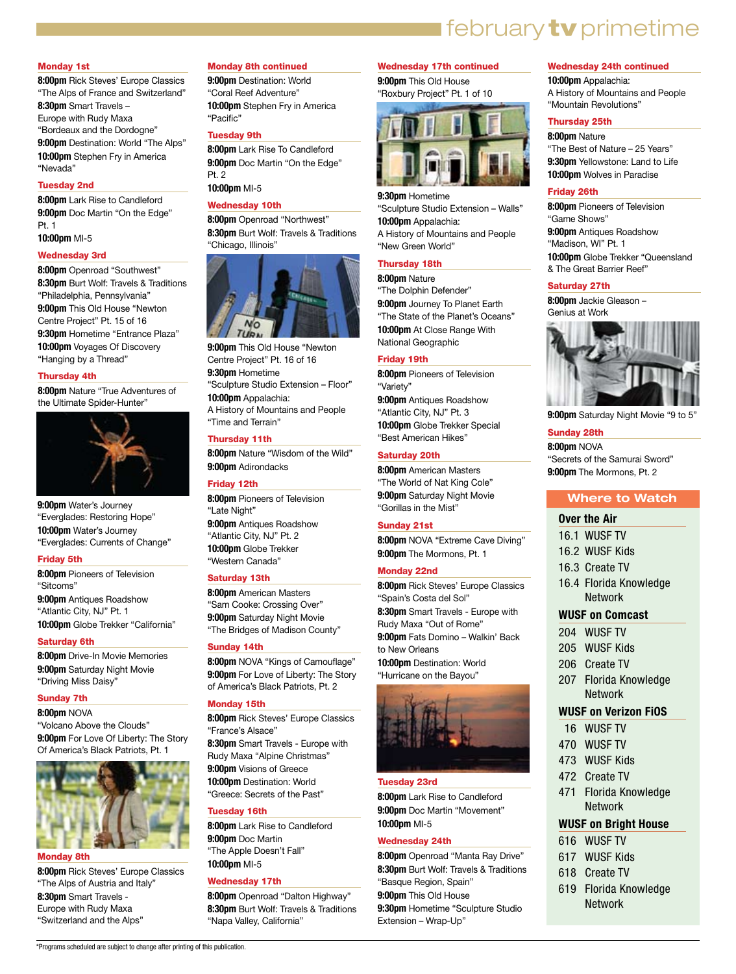# **I** february **tv** primetime

#### Monday 1st

**8:00pm** Rick Steves' Europe Classics "The Alps of France and Switzerland" **8:30pm** Smart Travels – Europe with Rudy Maxa "Bordeaux and the Dordogne" **9:00pm** Destination: World "The Alps" **10:00pm** Stephen Fry in America "Nevada"

#### Tuesday 2nd

**8:00pm** Lark Rise to Candleford **9:00pm** Doc Martin "On the Edge" Pt. 1

**10:00pm** MI-5

#### Wednesday 3rd

**8:00pm** Openroad "Southwest" **8:30pm** Burt Wolf: Travels & Traditions "Philadelphia, Pennsylvania" **9:00pm** This Old House "Newton Centre Project" Pt. 15 of 16 **9:30pm** Hometime "Entrance Plaza" **10:00pm** Voyages Of Discovery "Hanging by a Thread"

#### Thursday 4th

**8:00pm** Nature "True Adventures of the Ultimate Spider-Hunter"



**9:00pm** Water's Journey "Everglades: Restoring Hope" **10:00pm** Water's Journey "Everglades: Currents of Change"

#### Friday 5th

**8:00pm** Pioneers of Television "Sitcoms" **9:00pm** Antiques Roadshow "Atlantic City, NJ" Pt. 1 **10:00pm** Globe Trekker "California"

#### Saturday 6th

**8:00pm** Drive-In Movie Memories **9:00pm** Saturday Night Movie "Driving Miss Daisy"

#### Sunday 7th

**8:00pm** NOVA "Volcano Above the Clouds" **9:00pm** For Love Of Liberty: The Story Of America's Black Patriots, Pt. 1



#### Monday 8th

**8:00pm** Rick Steves' Europe Classics "The Alps of Austria and Italy" **8:30pm** Smart Travels - Europe with Rudy Maxa "Switzerland and the Alps"

#### Monday 8th continued

**9:00pm** Destination: World "Coral Reef Adventure" **10:00pm** Stephen Fry in America "Pacific"

#### Tuesday 9th

**8:00pm** Lark Rise To Candleford **9:00pm** Doc Martin "On the Edge" Pt. 2

**10:00pm** MI-5

## Wednesday 10th

**8:00pm** Openroad "Northwest" **8:30pm** Burt Wolf: Travels & Traditions "Chicago, Illinois"



**9:00pm** This Old House "Newton Centre Project" Pt. 16 of 16 **9:30pm** Hometime "Sculpture Studio Extension – Floor" **10:00pm** Appalachia: A History of Mountains and People "Time and Terrain"

#### Thursday 11th

**8:00pm** Nature "Wisdom of the Wild" **9:00pm** Adirondacks

#### Friday 12th

**8:00pm** Pioneers of Television "Late Night" **9:00pm** Antiques Roadshow "Atlantic City, NJ" Pt. 2 **10:00pm** Globe Trekker "Western Canada"

#### Saturday 13th

**8:00pm** American Masters "Sam Cooke: Crossing Over" **9:00pm** Saturday Night Movie "The Bridges of Madison County"

#### Sunday 14th

**8:00pm** NOVA "Kings of Camouflage" **9:00pm** For Love of Liberty: The Story of America's Black Patriots, Pt. 2

#### Monday 15th

**8:00pm** Rick Steves' Europe Classics "France's Alsace" **8:30pm** Smart Travels - Europe with Rudy Maxa "Alpine Christmas" **9:00pm** Visions of Greece **10:00pm** Destination: World

"Greece: Secrets of the Past"

# Tuesday 16th

**8:00pm** Lark Rise to Candleford **9:00pm** Doc Martin "The Apple Doesn't Fall" **10:00pm** MI-5

#### Wednesday 17th

**8:00pm** Openroad "Dalton Highway" **8:30pm** Burt Wolf: Travels & Traditions "Napa Valley, California"

#### Wednesday 17th continued

**9:00pm** This Old House "Roxbury Project" Pt. 1 of 10



**9:30pm** Hometime "Sculpture Studio Extension – Walls" **10:00pm** Appalachia: A History of Mountains and People

"New Green World"

# Thursday 18th

**8:00pm** Nature "The Dolphin Defender" **9:00pm** Journey To Planet Earth "The State of the Planet's Oceans" **10:00pm** At Close Range With National Geographic

#### Friday 19th

**8:00pm** Pioneers of Television "Variety" **9:00pm** Antiques Roadshow "Atlantic City, NJ" Pt. 3 **10:00pm** Globe Trekker Special "Best American Hikes"

#### Saturday 20th

**8:00pm** American Masters "The World of Nat King Cole" **9:00pm** Saturday Night Movie "Gorillas in the Mist"

#### Sunday 21st

**8:00pm** NOVA "Extreme Cave Diving" **9:00pm** The Mormons, Pt. 1

#### Monday 22nd

**8:00pm** Rick Steves' Europe Classics "Spain's Costa del Sol" **8:30pm** Smart Travels - Europe with Rudy Maxa "Out of Rome" **9:00pm** Fats Domino – Walkin' Back to New Orleans **10:00pm** Destination: World "Hurricane on the Bayou"



#### Tuesday 23rd

**8:00pm** Lark Rise to Candleford **9:00pm** Doc Martin "Movement" **10:00pm** MI-5

#### Wednesday 24th

**8:00pm** Openroad "Manta Ray Drive" **8:30pm** Burt Wolf: Travels & Traditions "Basque Region, Spain" **9:00pm** This Old House **9:30pm** Hometime "Sculpture Studio Extension – Wrap-Up"

#### Wednesday 24th continued

**10:00pm** Appalachia: A History of Mountains and People "Mountain Revolutions"

## Thursday 25th

**8:00pm** Nature "The Best of Nature – 25 Years" **9:30pm** Yellowstone: Land to Life **10:00pm** Wolves in Paradise

#### Friday 26th

**8:00pm** Pioneers of Television "Game Shows" **9:00pm** Antiques Roadshow "Madison, WI" Pt. 1 **10:00pm** Globe Trekker "Queensland & The Great Barrier Reef"

#### Saturday 27th

**8:00pm** Jackie Gleason – Genius at Work



**9:00pm** Saturday Night Movie "9 to 5"

#### Sunday 28th

**8:00pm** NOVA "Secrets of the Samurai Sword" **9:00pm** The Mormons, Pt. 2

#### **Where to Watch**

## **Over the Air**

- 16.1 WUSF TV
- 16.2 WUSF Kids
- 16.3 Create TV
- 16.4 Florida Knowledge Network

#### **WUSF on Comcast**

- 204 WUSF TV
- 205 WUSF Kids
- 206 Create TV
- 207 Florida Knowledge Network

#### **WUSF on Verizon FiOS**

- 16 WUSF TV
- 470 WUSF TV
- 473 WUSF Kids
- 472 Create TV
- 471 Florida Knowledge Network

#### **WUSF on Bright House**

- 616 WUSF TV
- 617 WUSF Kids
- 618 Create TV
- 619 Florida Knowledge Network